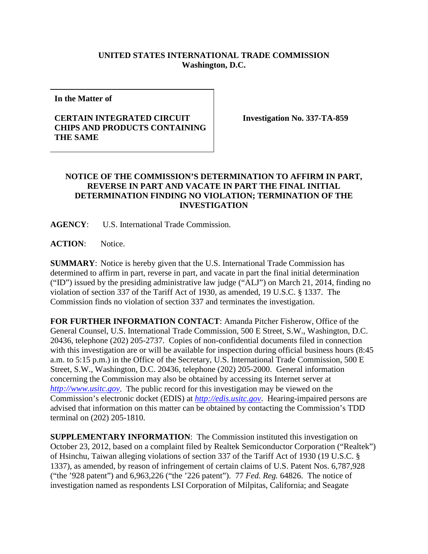## **UNITED STATES INTERNATIONAL TRADE COMMISSION Washington, D.C.**

**In the Matter of**

## **CERTAIN INTEGRATED CIRCUIT CHIPS AND PRODUCTS CONTAINING THE SAME**

**Investigation No. 337-TA-859**

## **NOTICE OF THE COMMISSION'S DETERMINATION TO AFFIRM IN PART, REVERSE IN PART AND VACATE IN PART THE FINAL INITIAL DETERMINATION FINDING NO VIOLATION; TERMINATION OF THE INVESTIGATION**

**AGENCY**: U.S. International Trade Commission.

**ACTION**: Notice.

**SUMMARY**: Notice is hereby given that the U.S. International Trade Commission has determined to affirm in part, reverse in part, and vacate in part the final initial determination ("ID") issued by the presiding administrative law judge ("ALJ") on March 21, 2014, finding no violation of section 337 of the Tariff Act of 1930, as amended, 19 U.S.C. § 1337. The Commission finds no violation of section 337 and terminates the investigation.

**FOR FURTHER INFORMATION CONTACT**: Amanda Pitcher Fisherow, Office of the General Counsel, U.S. International Trade Commission, 500 E Street, S.W., Washington, D.C. 20436, telephone (202) 205-2737. Copies of non-confidential documents filed in connection with this investigation are or will be available for inspection during official business hours (8:45 a.m. to 5:15 p.m.) in the Office of the Secretary, U.S. International Trade Commission, 500 E Street, S.W., Washington, D.C. 20436, telephone (202) 205-2000. General information concerning the Commission may also be obtained by accessing its Internet server at *[http://www.usitc.gov](http://www.usitc.gov/)*. The public record for this investigation may be viewed on the Commission's electronic docket (EDIS) at *[http://edis.usitc.gov](http://edis.usitc.gov/)*. Hearing-impaired persons are advised that information on this matter can be obtained by contacting the Commission's TDD terminal on (202) 205-1810.

**SUPPLEMENTARY INFORMATION**: The Commission instituted this investigation on October 23, 2012, based on a complaint filed by Realtek Semiconductor Corporation ("Realtek") of Hsinchu, Taiwan alleging violations of section 337 of the Tariff Act of 1930 (19 U.S.C. § 1337), as amended, by reason of infringement of certain claims of U.S. Patent Nos. 6,787,928 ("the '928 patent") and 6,963,226 ("the '226 patent"). 77 *Fed. Reg.* 64826. The notice of investigation named as respondents LSI Corporation of Milpitas, California; and Seagate